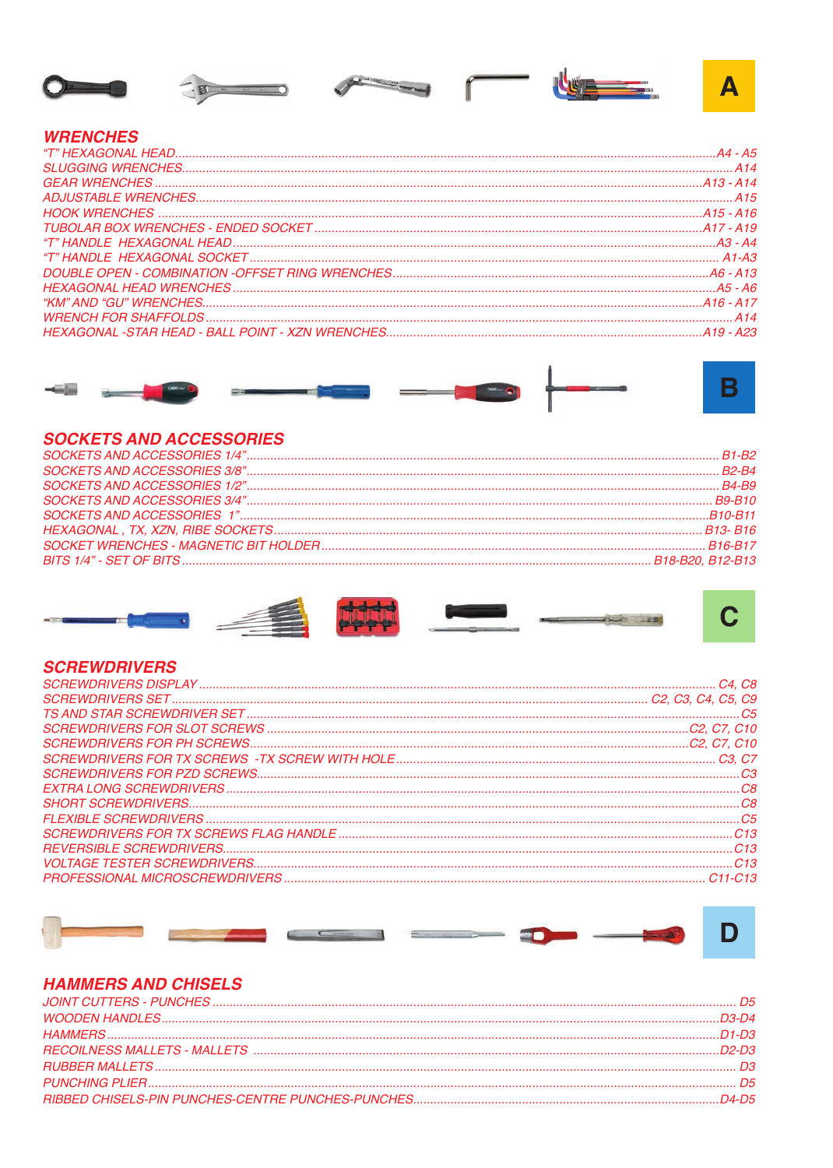









#### **WRENCHES**



### **SOCKETS AND ACCESSORIES**











#### **SCREWDRIVERS**



## **HAMMERS AND CHISELS**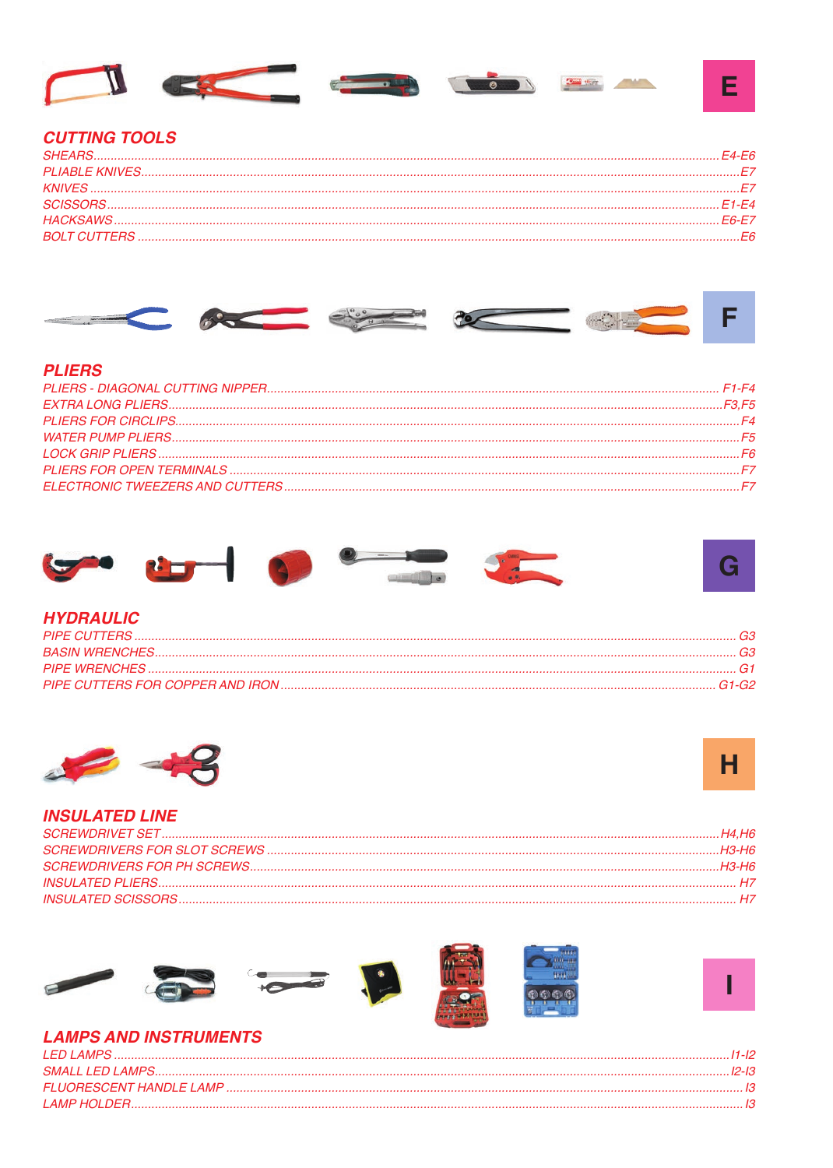

## **CUTTING TOOLS**



### **PLIERS**



## **HYDRAULIC**

| -63 |
|-----|
|     |
|     |
|     |





#### **INSULATED LINE**











# **LAMPS AND INSTRUMENTS**

| I ED I AMPS |  |
|-------------|--|
|             |  |
|             |  |
| LAMP HOLDER |  |

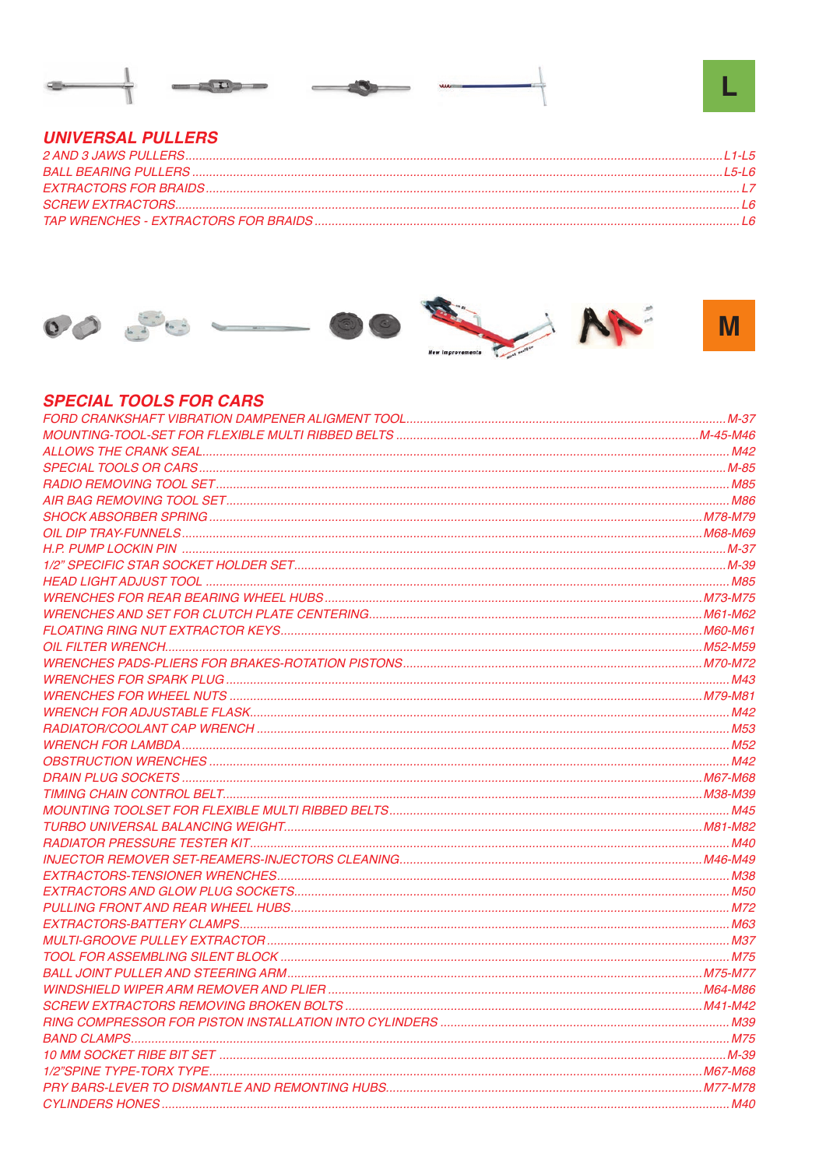

## **UNIVERSAL PULLERS**



# **SPECIAL TOOLS FOR CARS**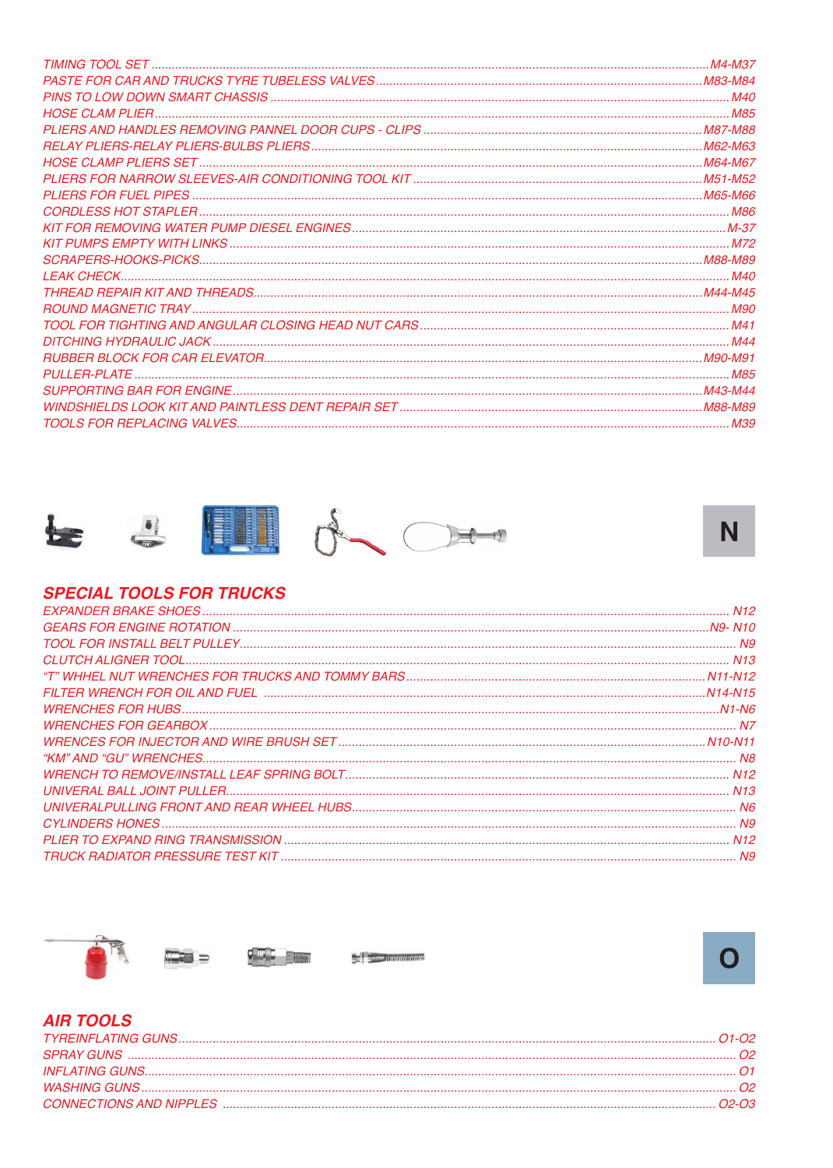



### **SPECIAL TOOLS FOR TRUCKS**







#### **AIR TOOLS**